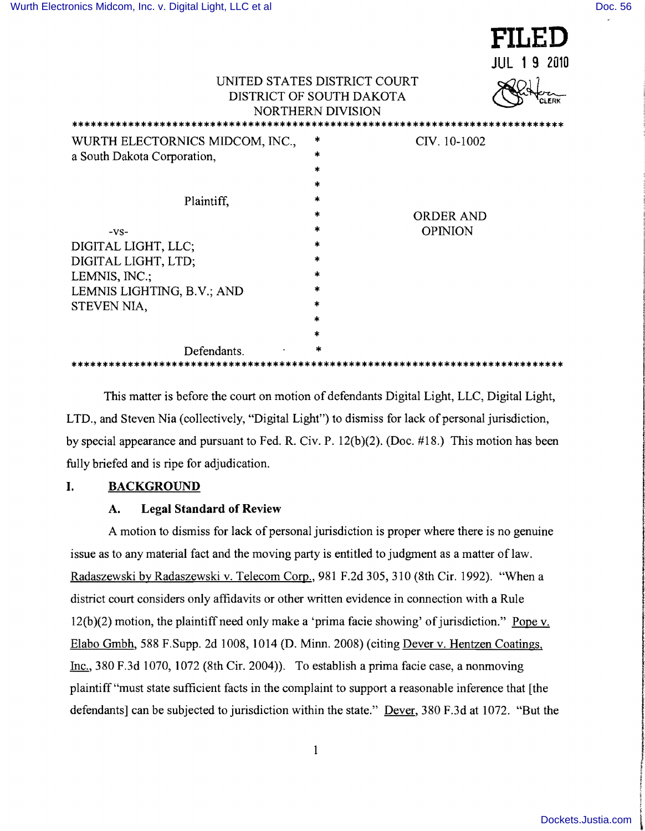|                                                              |                                                                                      |                  | FILED              |
|--------------------------------------------------------------|--------------------------------------------------------------------------------------|------------------|--------------------|
|                                                              |                                                                                      |                  | <b>JUL 19 2010</b> |
|                                                              | UNITED STATES DISTRICT COURT<br>DISTRICT OF SOUTH DAKOTA<br><b>NORTHERN DIVISION</b> |                  |                    |
| WURTH ELECTORNICS MIDCOM, INC.,                              | *                                                                                    | CIV. 10-1002     |                    |
| a South Dakota Corporation,                                  | ×.                                                                                   |                  |                    |
|                                                              | $\ast$                                                                               |                  |                    |
|                                                              | *                                                                                    |                  |                    |
| Plaintiff,                                                   | x.                                                                                   |                  |                    |
|                                                              | *                                                                                    | <b>ORDER AND</b> |                    |
| $-VS-$                                                       | *                                                                                    | <b>OPINION</b>   |                    |
| DIGITAL LIGHT, LLC;                                          | *                                                                                    |                  |                    |
| DIGITAL LIGHT, LTD;                                          | *                                                                                    |                  |                    |
| LEMNIS, INC.;                                                |                                                                                      |                  |                    |
| LEMNIS LIGHTING, B.V.; AND                                   |                                                                                      |                  |                    |
| STEVEN NIA,                                                  | $\ast$                                                                               |                  |                    |
|                                                              |                                                                                      |                  |                    |
|                                                              | *                                                                                    |                  |                    |
| Defendants.                                                  | *                                                                                    |                  |                    |
| *************************<br>******************************* |                                                                                      |                  |                    |

This matter is before the court on motion of defendants Digital Light, LLC, Digital Light, LTD., and Steven Nia (collectively, "Digital Light") to dismiss for lack of personal jurisdiction, by special appearance and pursuant to Fed. R. Civ. P. 12(b)(2). (Doc. #18.) This motion has been fully briefed and is ripe for adjudication.

## **I. BACKGROUND**

#### **A. Legal Standard of Review**

A motion to dismiss for lack of personal jurisdiction is proper where there is no genuine issue as to any material fact and the moving party is entitled to judgment as a matter of law. Radaszewski by Radaszewski v. Telecom Corp., 981 F.2d 305, 310 (8th Cir. 1992). "When a district court considers only affidavits or other written evidence in connection with a Rule  $12(b)(2)$  motion, the plaintiff need only make a 'prima facie showing' of jurisdiction." Pope v. Elabo Gmbh, 588 F.Supp. 2d 1008, 1014 (D. Minn. 2008) (citing Dever v. Hentzen Coatings, Inc., 380 F.3d 1070, 1072 (8th Cir. 2004)). To establish a prima facie case, a nonmoving plaintiff "must state sufficient facts in the complaint to support a reasonable inference that [the defendants] can be subjected to jurisdiction within the state." Dever, 380 F.3d at 1072. "But the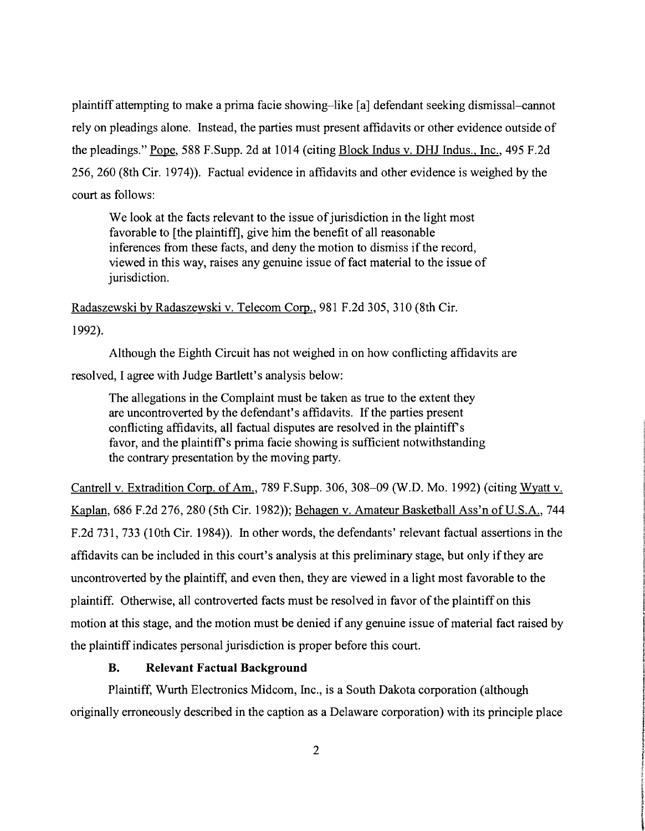plaintiff attempting to make a prima facie showing-like [a] defendant seeking dismissal-cannot rely on pleadings alone. Instead, the parties must present affidavits or other evidence outside of the pleadings." Pope, 588 F.Supp. 2d at 1014 (citing Block Indus v. DHJ Indus., Inc., 495 F.2d 256,260 (8th Cir. 1974)). Factual evidence in affidavits and other evidence is weighed by the court as follows:

We look at the facts relevant to the issue of jurisdiction in the light most favorable to [the plaintiff], give him the benefit of all reasonable inferences from these facts, and deny the motion to dismiss if the record, viewed in this way, raises any genuine issue of fact material to the issue of jurisdiction.

Radaszewski by Radaszewski v. Telecom Corp., 981 F.2d 305,310 (8th Cir.

1992).

Although the Eighth Circuit has not weighed in on how conflicting affidavits are resolved, I agree with Judge Bartlett's analysis below:

The allegations in the Complaint must be taken as true to the extent they are uncontroverted by the defendant's affidavits. If the parties present conflicting affidavits, all factual disputes are resolved in the plaintiff's favor, and the plaintiff's prima facie showing is sufficient notwithstanding the contrary presentation by the moving party.

Cantrell v. Extradition Corp. of Am., 789 F.Supp. 306, 308-09 (W.D. Mo. 1992) (citing Wyatt v. Kaplan, 686 F.2d 276,280 (5th Cir. 1982)); Behagen v. Amateur Basketball Ass'n of U.S.A., 744 F.2d 731, 733 (10th Cir. 1984)). In other words, the defendants' relevant factual assertions in the affidavits can be included in this court's analysis at this preliminary stage, but only ifthey are uncontroverted by the plaintiff, and even then, they are viewed in a light most favorable to the plaintiff. Otherwise, all controverted facts must be resolved in favor of the plaintiff on this motion at this stage, and the motion must be denied if any genuine issue of material fact raised by the plaintiff indicates personal jurisdiction is proper before this court.

# **B. Relevant Factual Background**

Plaintiff, Wurth Electronics Midcom, Inc., is a South Dakota corporation (although originally erroneously described in the caption as a Delaware corporation) with its principle place ! ! **INSURANCE** in Paris

**f** write trimmer. I the Multimeters **Particular** r, I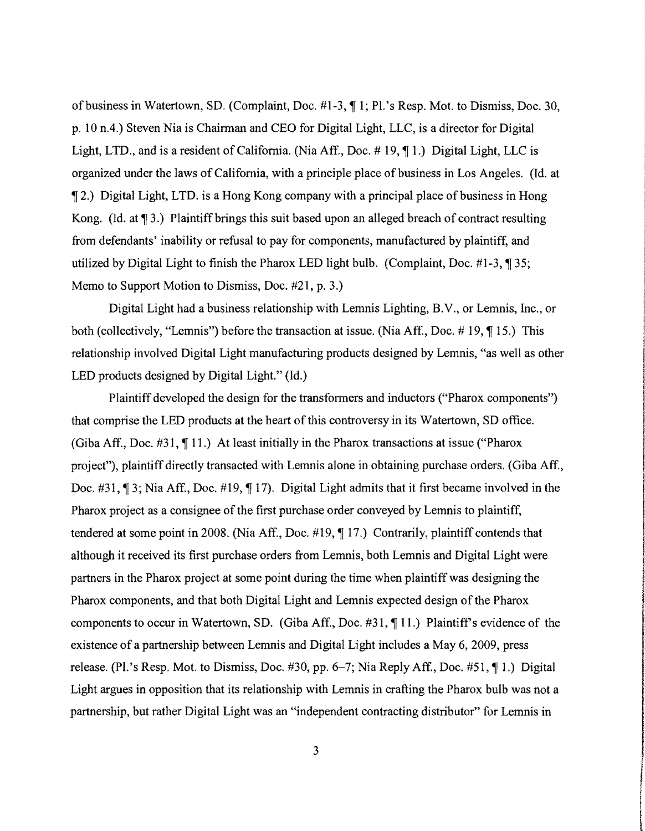of business in Watertown, SD. (Complaint, Doc. #1-3, ¶ 1; Pl.'s Resp. Mot. to Dismiss, Doc. 30, p. 10 n.4.) Steven Nia is Chairman and CEO for Digital Light, LLC, is a director for Digital Light, LTD., and is a resident of California. (Nia Aff., Doc.  $\# 19, \P 1$ .) Digital Light, LLC is organized under the laws of California, with a principle place of business in Los Angeles. (Id. at 2.) Digital Light, LTD. is a Hong Kong company with a principal place of business in Hong Kong. (Id. at  $\P$  3.) Plaintiff brings this suit based upon an alleged breach of contract resulting from defendants' inability or refusal to pay for components, manufactured by plaintiff, and utilized by Digital Light to finish the Pharox LED light bulb. (Complaint, Doc.  $\#1-3$ ,  $\P$  35; Memo to Support Motion to Dismiss, Doc. #21, p. 3.)

Digital Light had a business relationship with Lemnis Lighting, B.V., or Lemnis, Inc., or both (collectively, "Lemnis") before the transaction at issue. (Nia Aff., Doc.  $\#$  19,  $\P$  15.) This relationship involved Digital Light manufacturing products designed by Lemnis, "as well as other LED products designed by Digital Light." (Id.)

Plaintiff developed the design for the transfonners and inductors ("Pharox components") that comprise the LED products at the heart of this controversy in its Watertown, SO office. (Giba Aff., Doc.  $\#31$ ,  $\P$  11.) At least initially in the Pharox transactions at issue ("Pharox") project"), plaintiff directly transacted with Lemnis alone in obtaining purchase orders. (Giba Aff., Doc.  $\#31$ ,  $\P 3$ ; Nia Aff., Doc.  $\#19$ ,  $\P 17$ ). Digital Light admits that it first became involved in the Pharox project as a consignee of the first purchase order conveyed by Lemnis to plaintiff, tendered at some point in 2008. (Nia Aff., Doc.  $\#19$ ,  $\P$ 17.) Contrarily, plaintiff contends that although it received its first purchase orders from Lernnis, both Lemnis and Digital Light were partners in the Pharox project at some point during the time when plaintiff was designing the Pharox components, and that both Digital Light and Lemnis expected design of the Pharox components to occur in Watertown, SD. (Giba Aff., Doc.  $\#31$ ,  $\P 11$ .) Plaintiff's evidence of the existence of a partnership between Lernnis and Digital Light includes a May 6, 2009, press release. (Pl.'s Resp. Mot. to Dismiss, Doc. #30, pp. 6–7; Nia Reply Aff., Doc. #51,  $\P$ 1.) Digital Light argues in opposition that its relationship with Lemnis in crafting the Pharox bulb was not a partnership, but rather Digital Light was an "independent contracting distributor" for Lernnis in

 $3$ 

**International Education** 

**Transport the dealers** j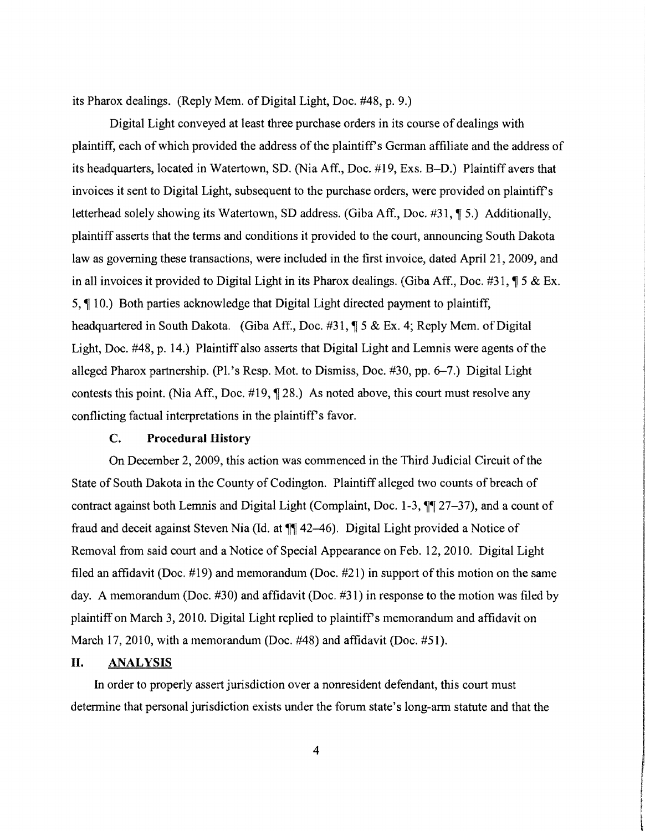its Pharox dealings. (Reply Mem. of Digital Light, Doc. #48, p. 9.)

Digital Light conveyed at least three purchase orders in its course of dealings with plaintiff, each of which provided the address of the plaintiff's German affiliate and the address of its headquarters, located in Watertown, SD. (Nia Aff., Doc. #19, Exs. B-D.) Plaintiff avers that invoices it sent to Digital Light, subsequent to the purchase orders, were provided on plaintiff's letterhead solely showing its Watertown, SD address. (Giba Aff., Doc. #31, ¶ 5.) Additionally, plaintiff asserts that the tenns and conditions it provided to the court, announcing South Dakota law as governing these transactions, were included in the first invoice, dated April 21, 2009, and in all invoices it provided to Digital Light in its Pharox dealings. (Giba Aff., Doc. #31,  $\sqrt{9}$  5 & Ex. 5, ¶ 10.) Both parties acknowledge that Digital Light directed payment to plaintiff, headquartered in South Dakota. (Giba Aff., Doc. #31,  $\sqrt{$  5 & Ex. 4; Reply Mem. of Digital Light, Doc. #48, p. 14.) Plaintiff also asserts that Digital Light and Lemnis were agents of the alleged Pharox partnership. (Pl.'s Resp. Mot. to Dismiss, Doc.  $\#30$ , pp. 6-7.) Digital Light contests this point. (Nia Aff., Doc.  $\#19$ ,  $\P$  28.) As noted above, this court must resolve any conflicting factual interpretations in the plaintiff's favor.

#### C. Procedural History

On December 2,2009, this action was commenced in the Third Judicial Circuit ofthe State of South Dakota in the County of Codington. Plaintiff alleged two counts of breach of contract against both Lemnis and Digital Light (Complaint, Doc.  $1-3$ ,  $\P\P$  27-37), and a count of fraud and deceit against Steven Nia (Id. at  $\P$  42–46). Digital Light provided a Notice of Removal from said court and a Notice of Special Appearance on Feb. 12,2010. Digital Light filed an affidavit (Doc.  $\#19$ ) and memorandum (Doc.  $\#21$ ) in support of this motion on the same day. A memorandum (Doc. #30) and affidavit (Doc. #31) in response to the motion was filed by plaintiff on March 3, 2010. Digital Light replied to plaintiff's memorandum and affidavit on March 17, 2010, with a memorandum (Doc. #48) and affidavit (Doc. #51).

#### **II.** ANALYSIS

In order to properly assert jurisdiction over a nonresident defendant, this court must determine that personal jurisdiction exists under the forum state's long-arm statute and that the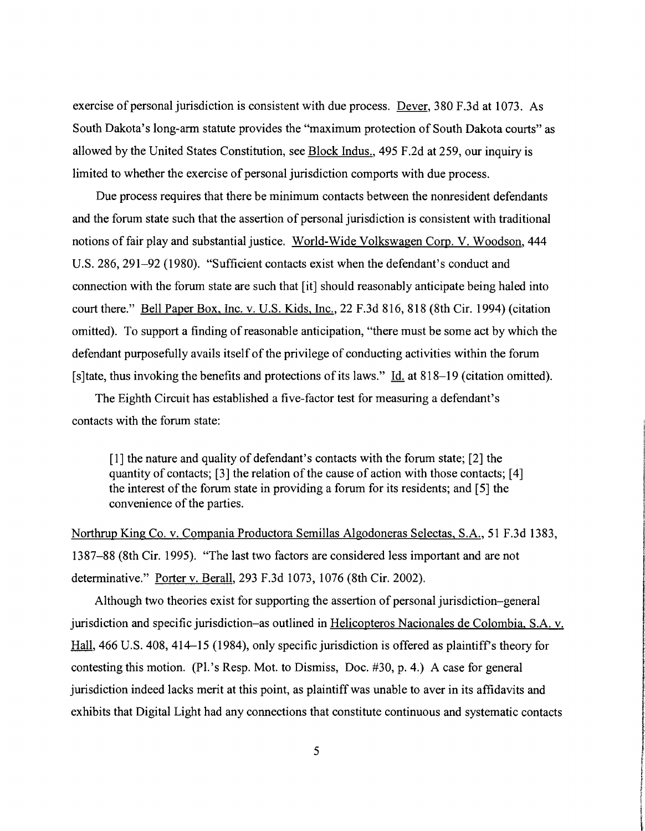exercise of personal jurisdiction is consistent with due process. Dever, 380 F.3d at 1073. As South Dakota's long-arm statute provides the "maximum protection of South Dakota courts" as allowed by the United States Constitution, see Block Indus., 495 F.2d at 259, our inquiry is limited to whether the exercise of personal jurisdiction comports with due process.

Due process requires that there be minimum contacts between the nonresident defendants and the forum state such that the assertion of personal jurisdiction is consistent with traditional notions of fair play and substantial justice. World-Wide Volkswagen Corp. V. Woodson, 444 U.S. 286, 291–92 (1980). "Sufficient contacts exist when the defendant's conduct and connection with the forum state are such that [it] should reasonably anticipate being haled into court there." Bell Paper Box, Inc. v. U.S. Kids, Inc., 22 F.3d 816, 818 (8th Cir. 1994) (citation omitted). To support a finding of reasonable anticipation, "there must be some act by which the defendant purposefully avails itself of the privilege of conducting activities within the forum [s] tate, thus invoking the benefits and protections of its laws."  $\underline{Id}$  at 818–19 (citation omitted).

The Eighth Circuit has established a five-factor test for measuring a defendant's contacts with the forum state:

[1] the nature and quality of defendant's contacts with the forum state; [2] the quantity of contacts;  $[3]$  the relation of the cause of action with those contacts;  $[4]$ the interest of the forum state in providing a forum for its residents; and [5] the convenience of the parties.

Northrup King Co. v. Compania Productora Semillas Algodoneras Selectas, S.A., 51 F.3d 1383, 1387–88 (8th Cir. 1995). "The last two factors are considered less important and are not determinative." Porter v. Berall, 293 F.3d 1073, 1076 (8th Cir. 2002).

Although two theories exist for supporting the assertion of personal jurisdiction–general jurisdiction and specific jurisdiction–as outlined in Helicopteros Nacionales de Colombia, S.A. v. Hall, 466 U.S. 408, 414–15 (1984), only specific jurisdiction is offered as plaintiff's theory for contesting this motion. (Pl.'s Resp. Mot. to Dismiss, Doc. #30, p. 4.) A case for general jurisdiction indeed lacks merit at this point, as plaintiff was unable to aver in its affidavits and exhibits that Digital Light had any connections that constitute continuous and systematic contacts  $\frac{5}{100}$ 

in Banki

describerances. ¥ i \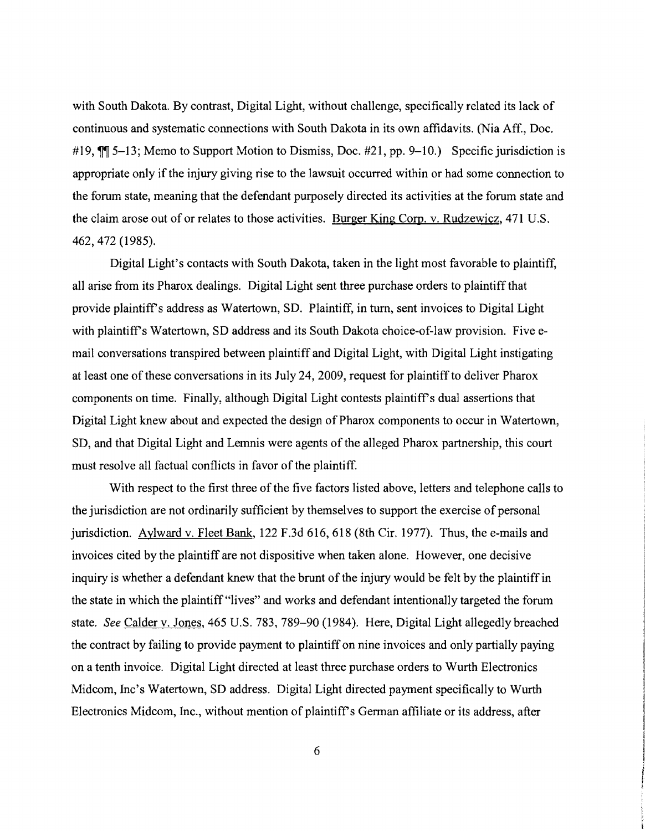with South Dakota. By contrast, Digital Light, without challenge, specifically related its lack of continuous and systematic connections with South Dakota in its own affidavits. (Nia Aff., Doc. #19,  $\mathbb{M}$  5–13; Memo to Support Motion to Dismiss, Doc. #21, pp. 9–10.) Specific jurisdiction is appropriate only if the injury giving rise to the lawsuit occurred within or had some connection to the forum state, meaning that the defendant purposely directed its activities at the forum state and the claim arose out of or relates to those activities. Burger King Corp. v. Rudzewicz, 471 U.S. 462,472 (1985).

Digital Light's contacts with South Dakota, taken in the light most favorable to plaintiff, all arise from its Pharox dealings. Digital Light sent three purchase orders to plaintiff that provide plaintiff's address as Watertown, SD. Plaintiff, in turn, sent invoices to Digital Light with plaintiff's Watertown, SD address and its South Dakota choice-of-law provision. Five email conversations transpired between plaintiff and Digital Light, with Digital Light instigating at least one of these conversations in its July 24, 2009, request for plaintiff to deliver Pharox components on time. Finally, although Digital Light contests plaintiff's dual assertions that Digital Light knew about and expected the design of Pharox components to occur in Watertown, SD, and that Digital Light and Lemnis were agents of the alleged Pharox partnership, this court must resolve all factual conflicts in favor of the plaintiff.

With respect to the first three of the five factors listed above, letters and telephone calls to the jurisdiction are not ordinarily sufficient by themselves to support the exercise of personal jurisdiction. Aylward v. Fleet Bank, 122 F.3d 616, 618 (8th Cir. 1977). Thus, the e-mails and invoices cited by the plaintiff are not dispositive when taken alone. However, one decisive inquiry is whether a defendant knew that the brunt of the injury would be felt by the plaintiff in the state in which the plaintiff "lives" and works and defendant intentionally targeted the forum state. See Calder v. Jones, 465 U.S. 783, 789-90 (1984). Here, Digital Light allegedly breached the contract by failing to provide payment to plaintiff on nine invoices and only partially paying on a tenth invoice. Digital Light directed at least three purchase orders to Wurth Electronics Midcom, Inc's Watertown, SD address. Digital Light directed payment specifically to Wurth Electronics Midcom, Inc., without mention of plaintiff's German affiliate or its address, after

6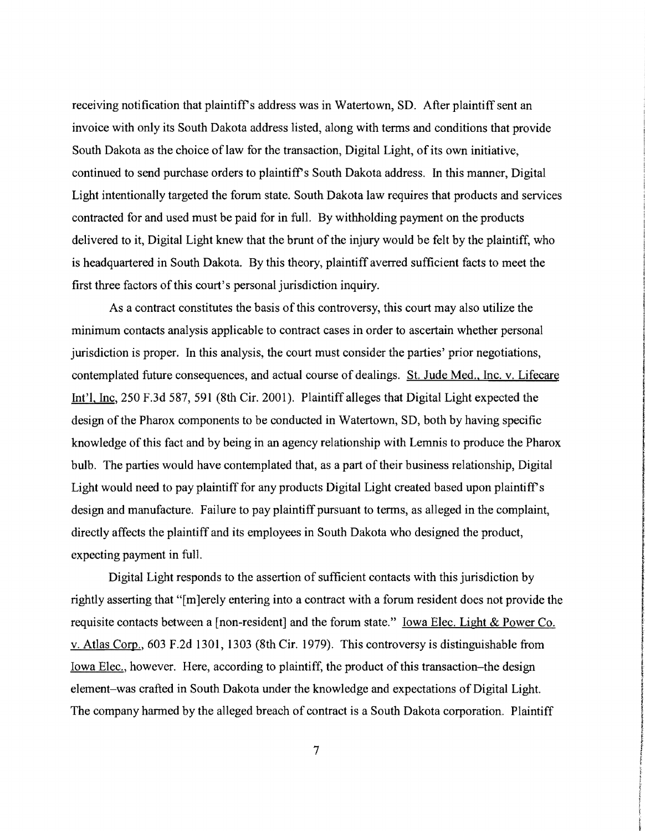receiving notification that plaintiff's address was in Watertown, SD. After plaintiff sent an invoice with only its South Dakota address listed, along with terms and conditions that provide South Dakota as the choice of law for the transaction, Digital Light, of its own initiative, continued to send purchase orders to plaintiff's South Dakota address. In this manner, Digital Light intentionally targeted the forum state. South Dakota law requires that products and services contracted for and used must be paid for in full. By withholding payment on the products delivered to it, Digital Light knew that the brunt of the injury would be felt by the plaintiff, who is headquartered in South Dakota. By this theory, plaintiff averred sufficient facts to meet the first three factors of this court's personal jurisdiction inquiry.

As a contract constitutes the basis of this controversy, this court may also utilize the minimum contacts analysis applicable to contract cases in order to ascertain whether personal jurisdiction is proper. In this analysis, the court must consider the parties' prior negotiations, contemplated future consequences, and actual course of dealings. St. Jude Med., Inc. v. Lifecare !nt'l. Inc, 250 F.3d 587,591 (8th Cir. 2001). Plaintiff alleges that Digital Light expected the design of the Pharox components to be conducted in Watertown, SD, both by having specific knowledge of this fact and by being in an agency relationship with Lemnis to produce the Pharox bulb. The parties would have contemplated that, as a part of their business relationship, Digital Light would need to pay plaintiff for any products Digital Light created based upon plaintiff's design and manufacture. Failure to pay plaintiff pursuant to terms, as alleged in the complaint, directly affects the plaintiff and its employees in South Dakota who designed the product, expecting payment in full.

Digital Light responds to the assertion of sufficient contacts with this jurisdiction by rightly asserting that "[m]erely entering into a contract with a forum resident does not provide the requisite contacts between a [non-resident] and the forum state." <u>Iowa Elec. Light & Power Co.</u> v. Atlas Corp., 603 F .2d 1301, 1303 (8th Cir. 1979). This controversy is distinguishable from Iowa Elec., however. Here, according to plaintiff, the product of this transaction-the design element-was crafted in South Dakota under the knowledge and expectations of Digital Light. The company harmed by the alleged breach of contract is a South Dakota corporation. Plaintiff

7